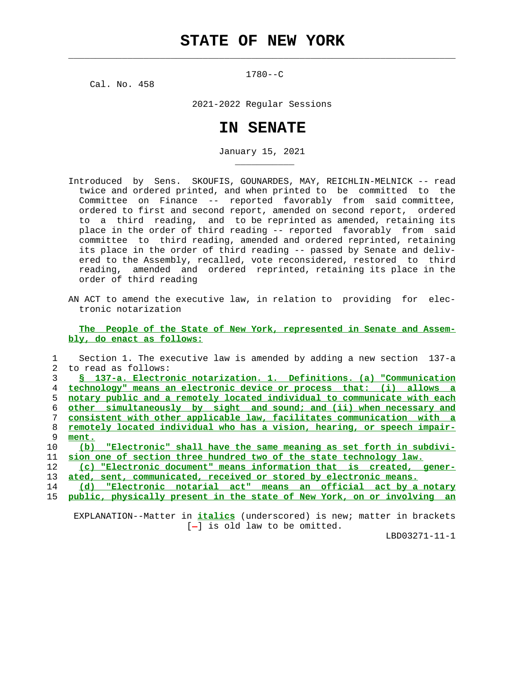$\mathcal{L}_\text{max} = \frac{1}{2} \sum_{i=1}^{n} \frac{1}{2} \sum_{i=1}^{n} \frac{1}{2} \sum_{i=1}^{n} \frac{1}{2} \sum_{i=1}^{n} \frac{1}{2} \sum_{i=1}^{n} \frac{1}{2} \sum_{i=1}^{n} \frac{1}{2} \sum_{i=1}^{n} \frac{1}{2} \sum_{i=1}^{n} \frac{1}{2} \sum_{i=1}^{n} \frac{1}{2} \sum_{i=1}^{n} \frac{1}{2} \sum_{i=1}^{n} \frac{1}{2} \sum_{i=1}^{n} \frac{1$ 

1780--C

Cal. No. 458

\_\_\_\_\_\_\_\_\_\_\_

2021-2022 Regular Sessions

## **IN SENATE**

January 15, 2021

- Introduced by Sens. SKOUFIS, GOUNARDES, MAY, REICHLIN-MELNICK -- read twice and ordered printed, and when printed to be committed to the Committee on Finance -- reported favorably from said committee, ordered to first and second report, amended on second report, ordered to a third reading, and to be reprinted as amended, retaining its place in the order of third reading -- reported favorably from said committee to third reading, amended and ordered reprinted, retaining its place in the order of third reading -- passed by Senate and deliv ered to the Assembly, recalled, vote reconsidered, restored to third reading, amended and ordered reprinted, retaining its place in the order of third reading
- AN ACT to amend the executive law, in relation to providing for elec tronic notarization

 **The People of the State of New York, represented in Senate and Assem bly, do enact as follows:**

|    | Section 1. The executive law is amended by adding a new section 137-a    |
|----|--------------------------------------------------------------------------|
| 2. | to read as follows:                                                      |
|    | § 137-a. Electronic notarization. 1. Definitions. (a) "Communication     |
| 4  | technology" means an electronic device or process that: (i) allows a     |
| 5. | notary public and a remotely located individual to communicate with each |
| 6  | other simultaneously by sight and sound; and (ii) when necessary and     |
|    | consistent with other applicable law, facilitates communication with a   |
| 8  | remotely located individual who has a vision, hearing, or speech impair- |
| 9  | ment.                                                                    |
| 10 | (b) "Electronic" shall have the same meaning as set forth in subdivi-    |
| 11 | sion one of section three hundred two of the state technology law.       |
| 12 | (c) "Electronic document" means information that is created, gener-      |
| 13 | ated, sent, communicated, received or stored by electronic means.        |
|    |                                                                          |

 14 **(d) "Electronic notarial act" means an official act by a notary** 15 **public, physically present in the state of New York, on or involving an**

 EXPLANATION--Matter in **italics** (underscored) is new; matter in brackets  $[-]$  is old law to be omitted.

LBD03271-11-1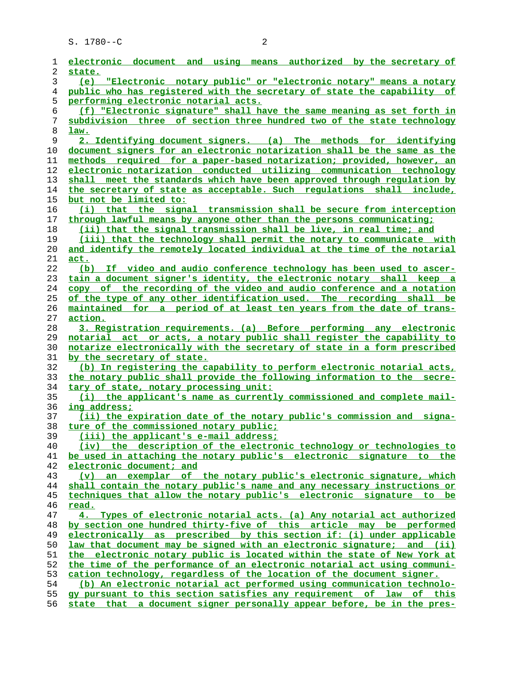S. 1780--C 2

| ı        | electronic document and using means authorized by the secretary of                                                                            |
|----------|-----------------------------------------------------------------------------------------------------------------------------------------------|
| 2        | state.                                                                                                                                        |
| 3        | "Electronic notary public" or "electronic notary" means a notary<br>(e)                                                                       |
| 4        | public who has registered with the secretary of state the capability of                                                                       |
| 5        | performing electronic notarial acts.                                                                                                          |
| 6        | (f) "Electronic signature" shall have the same meaning as set forth in                                                                        |
| 7        | subdivision three of section three hundred two of the state technology                                                                        |
| 8        | law.                                                                                                                                          |
| 9        | 2. Identifying document signers. (a) The methods for identifying                                                                              |
| 10       | document signers for an electronic notarization shall be the same as the                                                                      |
| 11       | methods required for a paper-based notarization; provided, however, an                                                                        |
| 12       | electronic notarization conducted utilizing communication technology                                                                          |
| 13       | shall meet the standards which have been approved through regulation by                                                                       |
| 14       | the secretary of state as acceptable. Such requlations shall include,                                                                         |
| 15       | but not be limited to:                                                                                                                        |
| 16       | (i) that the signal transmission shall be secure from interception                                                                            |
| 17       | through lawful means by anyone other than the persons communicating;                                                                          |
| 18       | (ii) that the signal transmission shall be live, in real time; and                                                                            |
| 19       | (iii) that the technology shall permit the notary to communicate with                                                                         |
| 20       | and identify the remotely located individual at the time of the notarial                                                                      |
| 21       | act.                                                                                                                                          |
| 22       | (b) If video and audio conference technology has been used to ascer-<br>tain a document signer's identity, the electronic notary shall keep a |
| 23<br>24 | copy of the recording of the video and audio conference and a notation                                                                        |
| 25       | of the type of any other identification used. The recording shall be                                                                          |
| 26       | maintained for a period of at least ten years from the date of trans-                                                                         |
| 27       | action.                                                                                                                                       |
| 28       | 3. Registration requirements. (a) Before performing any electronic                                                                            |
| 29       | notarial act or acts, a notary public shall register the capability to                                                                        |
| 30       | notarize electronically with the secretary of state in a form prescribed                                                                      |
| 31       | by the secretary of state.                                                                                                                    |
| 32       | (b) In registering the capability to perform electronic notarial acts,                                                                        |
| 33       | the notary public shall provide the following information to the secre-                                                                       |
| 34       | tary of state, notary processing unit:                                                                                                        |
| 35       | (i) the applicant's name as currently commissioned and complete mail-                                                                         |
| 36       | ing address;                                                                                                                                  |
| 37       | (ii) the expiration date of the notary public's commission and<br>signa-                                                                      |
| 38       | ture of the commissioned notary public;                                                                                                       |
| 39       | (iii) the applicant's e-mail address;                                                                                                         |
| 40       | (iv) the description of the electronic technology or technologies to                                                                          |
| 41       | be used in attaching the notary public's electronic signature to the                                                                          |
| 42       | electronic document; and                                                                                                                      |
| 43       | an exemplar of the notary public's electronic signature, which<br>$(\mathbf{v})$                                                              |
| 44       | shall contain the notary public's name and any necessary instructions or                                                                      |
| 45       | techniques that allow the notary public's electronic signature to be                                                                          |
| 46       | read.                                                                                                                                         |
| 47       | 4. Types of electronic notarial acts. (a) Any notarial act authorized                                                                         |
| 48       | by section one hundred thirty-five of this article may be performed                                                                           |
| 49       | electronically as prescribed by this section if: (i) under applicable                                                                         |
| 50       | law that document may be signed with an electronic signature; and (ii)                                                                        |
| 51       | electronic notary public is located within the state of New York at<br>the                                                                    |
| 52       | the time of the performance of an electronic notarial act using communi-                                                                      |
| 53       | cation technology, regardless of the location of the document signer.                                                                         |
| 54       | (b) An electronic notarial act performed using communication technolo-                                                                        |
| 55       | gy pursuant to this section satisfies any requirement of law of this                                                                          |
| 56       | state that a document signer personally appear before, be in the pres-                                                                        |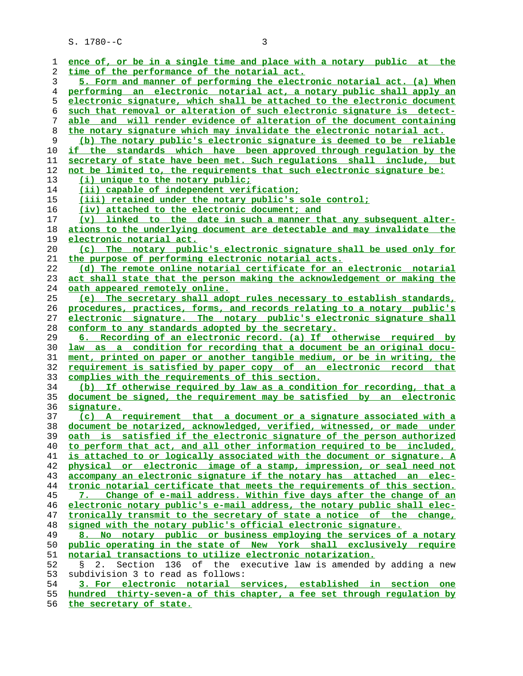S. 1780--C 3

| 1  | ence of, or be in a single time and place with a notary public at the                                                                             |
|----|---------------------------------------------------------------------------------------------------------------------------------------------------|
| 2  | time of the performance of the notarial act.                                                                                                      |
| 3  | 5. Form and manner of performing the electronic notarial act. (a) When                                                                            |
| 4  | performing an electronic notarial act, a notary public shall apply an                                                                             |
| 5  | electronic signature, which shall be attached to the electronic document                                                                          |
| 6  | such that removal or alteration of such electronic signature is detect-                                                                           |
| 7  | able and will render evidence of alteration of the document containing                                                                            |
| 8  | the notary signature which may invalidate the electronic notarial act.                                                                            |
| 9  | (b) The notary public's electronic signature is deemed to be reliable                                                                             |
| 10 | if the standards which have been approved through regulation by the                                                                               |
| 11 | secretary of state have been met. Such requlations shall include, but                                                                             |
| 12 | not be limited to, the requirements that such electronic signature be:                                                                            |
| 13 | (i) unique to the notary public;                                                                                                                  |
| 14 | (ii) capable of independent verification;                                                                                                         |
| 15 | (iii) retained under the notary public's sole control;                                                                                            |
| 16 | <u>(iv)</u> attached to the electronic document; and                                                                                              |
| 17 | (v) linked to the date in such a manner that any subsequent alter-                                                                                |
| 18 | ations to the underlying document are detectable and may invalidate the                                                                           |
| 19 | <u>electronic notarial act.</u>                                                                                                                   |
| 20 | The notary public's electronic signature shall be used only for<br>(c)                                                                            |
| 21 | the purpose of performing electronic notarial acts.                                                                                               |
| 22 | (d) The remote online notarial certificate for an electronic notarial                                                                             |
| 23 | act shall state that the person making the acknowledgement or making the                                                                          |
| 24 | oath appeared remotely online.                                                                                                                    |
| 25 | (e) The secretary shall adopt rules necessary to establish standards,                                                                             |
| 26 | procedures, practices, forms, and records relating to a notary public's                                                                           |
| 27 | electronic signature. The notary public's electronic signature shall                                                                              |
| 28 | conform to any standards adopted by the secretary.                                                                                                |
| 29 | 6. Recording of an electronic record. (a) If otherwise required by                                                                                |
| 30 | law as a condition for recording that a document be an original docu-                                                                             |
| 31 | ment, printed on paper or another tangible medium, or be in writing, the                                                                          |
| 32 | requirement is satisfied by paper copy of an electronic record that                                                                               |
| 33 | complies with the requirements of this section.                                                                                                   |
| 34 | (b) If otherwise required by law as a condition for recording, that a                                                                             |
|    | document be signed, the requirement may be satisfied by an electronic                                                                             |
| 35 |                                                                                                                                                   |
| 36 | <u>signature.</u>                                                                                                                                 |
| 37 | (c) A requirement that a document or a signature associated with a                                                                                |
| 38 | document be notarized, acknowledged, verified, witnessed, or made under<br>oath is satisfied if the electronic signature of the person authorized |
| 39 |                                                                                                                                                   |
| 40 | to perform that act, and all other information required to be included,                                                                           |
| 41 | is attached to or logically associated with the document or signature. A                                                                          |
| 42 | physical or electronic image of a stamp, impression, or seal need not                                                                             |
| 43 | accompany an electronic signature if the notary has attached an elec-                                                                             |
| 44 | tronic notarial certificate that meets the requirements of this section.                                                                          |
| 45 | 7. Change of e-mail address. Within five days after the change of an                                                                              |
| 46 | electronic notary public's e-mail address, the notary public shall elec-                                                                          |
| 47 | tronically transmit to the secretary of state a notice of the change,                                                                             |
| 48 | signed with the notary public's official electronic signature.                                                                                    |
| 49 | 8. No notary public or business employing the services of a notary                                                                                |
| 50 | public operating in the state of New York shall exclusively require                                                                               |
| 51 | notarial transactions to utilize electronic notarization.                                                                                         |
| 52 | Section 136 of the executive law is amended by adding a new<br>2.<br>$\mathbb{S}$                                                                 |
| 53 | subdivision 3 to read as follows:                                                                                                                 |
| 54 | 3. For electronic notarial services, established in section one                                                                                   |
| 55 | hundred thirty-seven-a of this chapter, a fee set through requlation by                                                                           |

**the secretary of state.**